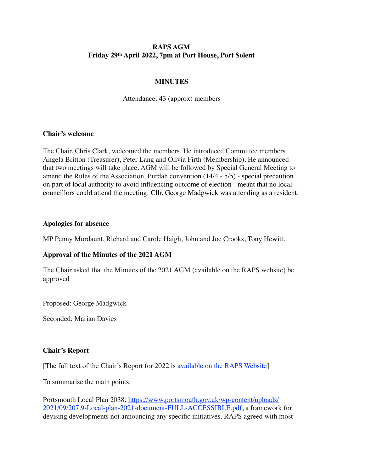# **RAPS AGM Friday 29th April 2022, 7pm at Port House, Port Solent**

# **MINUTES**

Attendance: 43 (approx) members

#### **Chair's welcome**

The Chair, Chris Clark, welcomed the members. He introduced Committee members Angela Britton (Treasurer), Peter Lang and Olivia Firth (Membership). He announced that two meetings will take place. AGM will be followed by Special General Meeting to amend the Rules of the Association. Purdah convention (14/4 - 5/5) - special precaution on part of local authority to avoid influencing outcome of election - meant that no local councillors could attend the meeting: Cllr. George Madgwick was attending as a resident.

#### **Apologies for absence**

MP Penny Mordaunt, Richard and Carole Haigh, John and Joe Crooks, Tony Hewitt.

#### **Approval of the Minutes of the 2021 AGM**

The Chair asked that the Minutes of the 2021 AGM (available on the RAPS website) be approved

Proposed: George Madgwick

Seconded: Marian Davies

#### **Chair's Report**

[The full text of the Chair's Report for 2022 is [available on the RAPS Website\]](https://www.po)

To summarise the main points:

[Portsmouth Local Plan 2038: https://www.portsmouth.gov.uk/wp-content/uploads/](https://www.portsmouth.gov.uk/wp-content/uploads/2021/09/207.9-Local-plan-2021-document-FULL-ACCESSIBLE.pdf) 2021/09/207.9-Local-plan-2021-document-FULL-ACCESSIBLE.pdf, a framework for devising developments not announcing any specific initiatives. RAPS agreed with most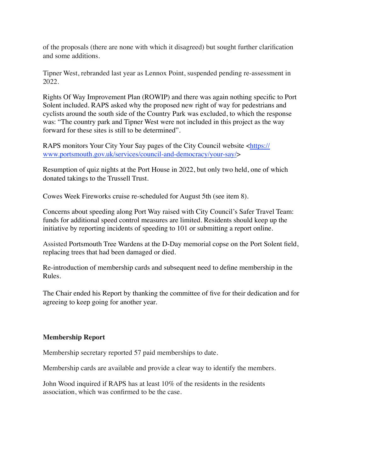of the proposals (there are none with which it disagreed) but sought further clarification and some additions.

Tipner West, rebranded last year as Lennox Point, suspended pending re-assessment in 2022.

Rights Of Way Improvement Plan (ROWIP) and there was again nothing specific to Port Solent included. RAPS asked why the proposed new right of way for pedestrians and cyclists around the south side of the Country Park was excluded, to which the response was: "The country park and Tipner West were not included in this project as the way forward for these sites is still to be determined".

[RAPS monitors Your City Your Say pages of the City Council website <https://](https://www.portsmouth.gov.uk/services/council-and-democracy/your-say/) www.portsmouth.gov.uk/services/council-and-democracy/your-say/>

Resumption of quiz nights at the Port House in 2022, but only two held, one of which donated takings to the Trussell Trust.

Cowes Week Fireworks cruise re-scheduled for August 5th (see item 8).

Concerns about speeding along Port Way raised with City Council's Safer Travel Team: funds for additional speed control measures are limited. Residents should keep up the initiative by reporting incidents of speeding to 101 or submitting a report online.

Assisted Portsmouth Tree Wardens at the D-Day memorial copse on the Port Solent field, replacing trees that had been damaged or died.

Re-introduction of membership cards and subsequent need to define membership in the Rules.

The Chair ended his Report by thanking the committee of five for their dedication and for agreeing to keep going for another year.

# **Membership Report**

Membership secretary reported 57 paid memberships to date.

Membership cards are available and provide a clear way to identify the members.

John Wood inquired if RAPS has at least 10% of the residents in the residents association, which was confirmed to be the case.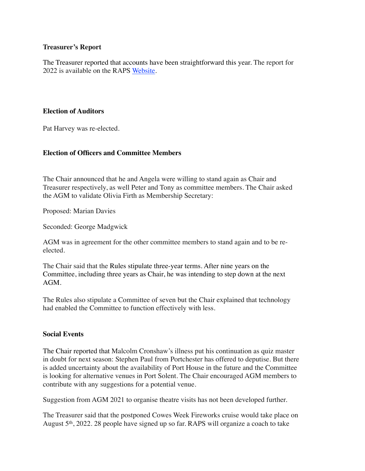### **Treasurer's Report**

The Treasurer reported that accounts have been straightforward this year. The report for 2022 is available on the RAPS [Website](https://www.portsolentreside).

### **Election of Auditors**

Pat Harvey was re-elected.

# **Election of Officers and Committee Members**

The Chair announced that he and Angela were willing to stand again as Chair and Treasurer respectively, as well Peter and Tony as committee members. The Chair asked the AGM to validate Olivia Firth as Membership Secretary:

Proposed: Marian Davies

Seconded: George Madgwick

AGM was in agreement for the other committee members to stand again and to be reelected.

The Chair said that the Rules stipulate three-year terms. After nine years on the Committee, including three years as Chair, he was intending to step down at the next AGM.

The Rules also stipulate a Committee of seven but the Chair explained that technology had enabled the Committee to function effectively with less.

#### **Social Events**

The Chair reported that Malcolm Cronshaw's illness put his continuation as quiz master in doubt for next season: Stephen Paul from Portchester has offered to deputise. But there is added uncertainty about the availability of Port House in the future and the Committee is looking for alternative venues in Port Solent. The Chair encouraged AGM members to contribute with any suggestions for a potential venue.

Suggestion from AGM 2021 to organise theatre visits has not been developed further.

The Treasurer said that the postponed Cowes Week Fireworks cruise would take place on August 5th, 2022. 28 people have signed up so far. RAPS will organize a coach to take